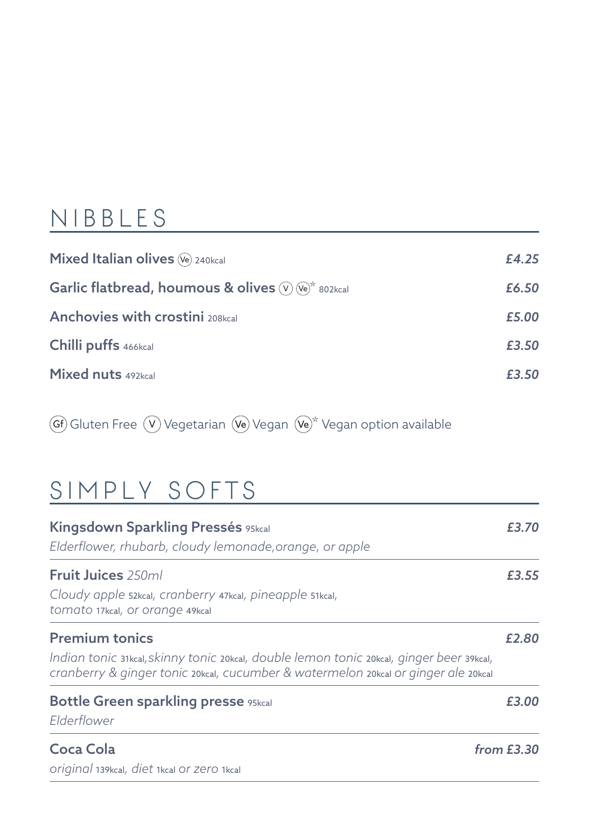#### NIBB L E S

| Mixed Italian olives (Ve) 240kcal                                     | £4.25 |
|-----------------------------------------------------------------------|-------|
| Garlic flatbread, houmous & olives $(v)$ ( $(v)$ <sup>*</sup> 802kcal | £6.50 |
| <b>Anchovies with crostini</b> 208kcal                                | £5.00 |
| Chilli puffs 466kcal                                                  | £3.50 |
| Mixed nuts 492kcal                                                    | £3.50 |

 $G$ Gf) Gluten Free  $\circled{V}$  Vegetarian  $\circled{w}$  Vegan  $\circled{w}^*$  Vegan option available

#### SIMPLY SOFTS

| Kingsdown Sparkling Pressés 95kcal<br>Elderflower, rhubarb, cloudy lemonade, orange, or apple                                                                                                           | £3.70        |
|---------------------------------------------------------------------------------------------------------------------------------------------------------------------------------------------------------|--------------|
| <b>Fruit Juices</b> 250ml<br>Cloudy apple 52kcal, cranberry 47kcal, pineapple 51kcal,<br>tomato 17kcal, or orange 49kcal                                                                                | £3.55        |
| <b>Premium tonics</b><br>Indian tonic 31kcal, skinny tonic 20kcal, double lemon tonic 20kcal, ginger beer 39kcal,<br>cranberry & ginger tonic 20kcal, cucumber & watermelon 20kcal or ginger ale 20kcal | £2.80        |
| <b>Bottle Green sparkling presse 95kcal</b><br>Elderflower                                                                                                                                              | £3.00        |
| Coca Cola<br>original 139kcal, diet 1kcal Or Zero 1kcal                                                                                                                                                 | from $E3.30$ |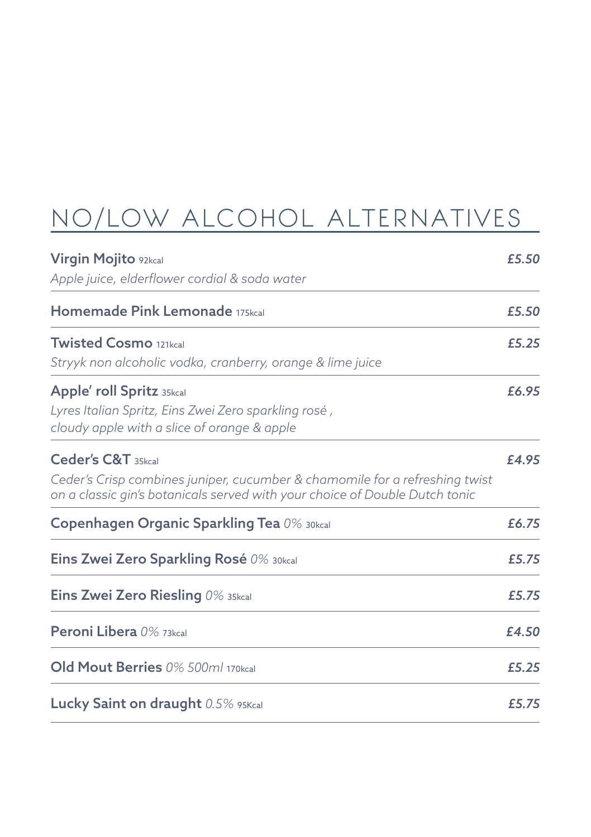## NO/LOW ALCOHOL ALTERNATIVES

| Virgin Mojito 92kcal<br>Apple juice, elderflower cordial & soda water                                                                                                            | £5.50 |
|----------------------------------------------------------------------------------------------------------------------------------------------------------------------------------|-------|
| Homemade Pink Lemonade 175kcal                                                                                                                                                   | £5.50 |
| <b>Twisted Cosmo</b> 121kcal<br>Stryyk non alcoholic vodka, cranberry, orange & lime juice                                                                                       | £5.25 |
| Apple' roll Spritz 35kcal<br>Lyres Italian Spritz, Eins Zwei Zero sparkling rosé,<br>cloudy apple with a slice of orange & apple                                                 | £6.95 |
| Ceder's C&T 35kcal<br>Ceder's Crisp combines juniper, cucumber & chamomile for a refreshing twist<br>on a classic gin's botanicals served with your choice of Double Dutch tonic | £4.95 |
| Copenhagen Organic Sparkling Tea 0% 30kcal                                                                                                                                       | £6.75 |
| <b>Eins Zwei Zero Sparkling Rosé</b> 0% 30kcal                                                                                                                                   | £5.75 |
| <b>Eins Zwei Zero Riesling</b> $0\%$ 35kcal                                                                                                                                      | £5.75 |
| Peroni Libera 0% 73kcal                                                                                                                                                          | £4.50 |
| Old Mout Berries 0% 500ml 170kcal                                                                                                                                                | £5.25 |
| Lucky Saint on draught 0.5% 95Kcal                                                                                                                                               | £5.75 |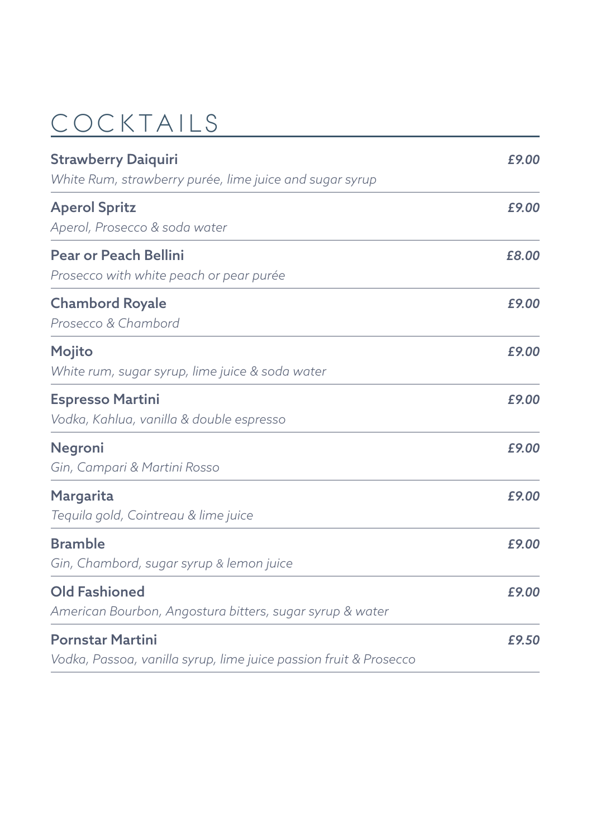# COCKTAILS

| <b>Strawberry Daiquiri</b>                                        | £9.00 |  |
|-------------------------------------------------------------------|-------|--|
| White Rum, strawberry purée, lime juice and sugar syrup           |       |  |
| <b>Aperol Spritz</b>                                              | £9.00 |  |
| Aperol, Prosecco & soda water                                     |       |  |
| <b>Pear or Peach Bellini</b>                                      | £8.00 |  |
| Prosecco with white peach or pear purée                           |       |  |
| <b>Chambord Royale</b>                                            | £9.00 |  |
| Prosecco & Chambord                                               |       |  |
| Mojito                                                            | £9.00 |  |
| White rum, sugar syrup, lime juice & soda water                   |       |  |
| <b>Espresso Martini</b>                                           | £9.00 |  |
| Vodka, Kahlua, vanilla & double espresso                          |       |  |
| Negroni                                                           | £9.00 |  |
| Gin, Campari & Martini Rosso                                      |       |  |
| Margarita                                                         | £9.00 |  |
| Tequila gold, Cointreau & lime juice                              |       |  |
| <b>Bramble</b>                                                    | £9.00 |  |
| Gin, Chambord, sugar syrup & lemon juice                          |       |  |
| <b>Old Fashioned</b>                                              | £9.00 |  |
| American Bourbon, Angostura bitters, sugar syrup & water          |       |  |
| <b>Pornstar Martini</b>                                           | £9.50 |  |
| Vodka, Passoa, vanilla syrup, lime juice passion fruit & Prosecco |       |  |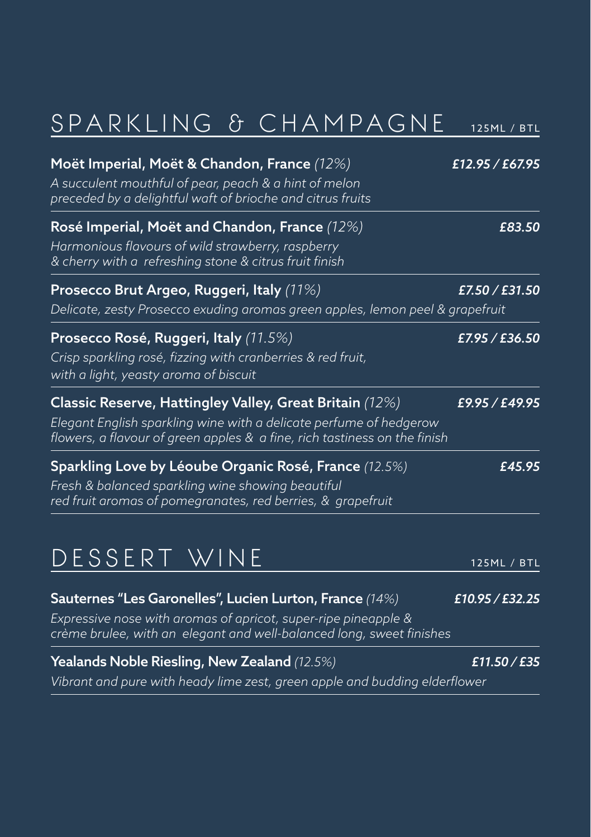# SPARKLING & CHAMPAGNE 125ML / BTL

| Moët Imperial, Moët & Chandon, France (12%)<br>A succulent mouthful of pear, peach & a hint of melon<br>preceded by a delightful waft of brioche and citrus fruits                                         | £12.95 / £67.95 |
|------------------------------------------------------------------------------------------------------------------------------------------------------------------------------------------------------------|-----------------|
| Rosé Imperial, Moët and Chandon, France (12%)<br>Harmonious flavours of wild strawberry, raspberry<br>& cherry with a refreshing stone & citrus fruit finish                                               | £83.50          |
| Prosecco Brut Argeo, Ruggeri, Italy (11%)<br>Delicate, zesty Prosecco exuding aromas green apples, lemon peel & grapefruit                                                                                 | £7.50 / £31.50  |
| Prosecco Rosé, Ruggeri, Italy (11.5%)<br>Crisp sparkling rosé, fizzing with cranberries & red fruit,<br>with a light, yeasty aroma of biscuit                                                              | £7.95 / £36.50  |
| Classic Reserve, Hattingley Valley, Great Britain (12%)<br>Elegant English sparkling wine with a delicate perfume of hedgerow<br>flowers, a flavour of green apples & a fine, rich tastiness on the finish | £9.95 / £49.95  |
| Sparkling Love by Léoube Organic Rosé, France (12.5%)<br>Fresh & balanced sparkling wine showing beautiful<br>red fruit aromas of pomegranates, red berries, & grapefruit                                  | £45.95          |
| DESSERT WINE                                                                                                                                                                                               | 125ML / BTL     |
| Sauternes "Les Garonelles", Lucien Lurton, France (14%)<br>Expressive nose with aromas of apricot, super-ripe pineapple &<br>crème brulee, with an elegant and well-balanced long, sweet finishes          | £10.95 / £32.25 |

Yealands Noble Riesling, New Zealand *(12.5%) £11.50 / £35 Vibrant and pure with heady lime zest, green apple and budding elderflower*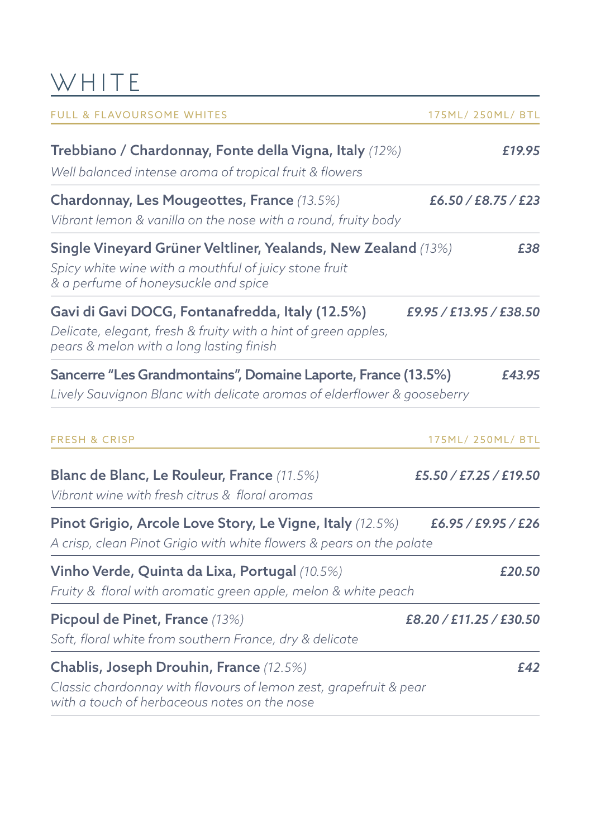## WHITE

| <b>FULL &amp; FLAVOURSOME WHITES</b>                                                                                                                           | 175ML/250ML/BTL         |
|----------------------------------------------------------------------------------------------------------------------------------------------------------------|-------------------------|
| Trebbiano / Chardonnay, Fonte della Vigna, Italy (12%)<br>Well balanced intense aroma of tropical fruit & flowers                                              | £19.95                  |
| Chardonnay, Les Mougeottes, France (13.5%)<br>Vibrant lemon & vanilla on the nose with a round, fruity body                                                    | E6.50 / E8.75 / E23     |
| Single Vineyard Grüner Veltliner, Yealands, New Zealand (13%)<br>Spicy white wine with a mouthful of juicy stone fruit<br>& a perfume of honeysuckle and spice | £38                     |
| Gavi di Gavi DOCG, Fontanafredda, Italy (12.5%)<br>Delicate, elegant, fresh & fruity with a hint of green apples,<br>pears & melon with a long lasting finish  | £9.95 / £13.95 / £38.50 |
| Sancerre "Les Grandmontains", Domaine Laporte, France (13.5%)<br>Lively Sauvignon Blanc with delicate aromas of elderflower & gooseberry                       | £43.95                  |
| <b>FRESH &amp; CRISP</b>                                                                                                                                       | 175ML/ 250ML/ BTL       |
| Blanc de Blanc, Le Rouleur, France (11.5%)<br>Vibrant wine with fresh citrus & floral aromas                                                                   | £5.50 / £7.25 / £19.50  |
| Pinot Grigio, Arcole Love Story, Le Vigne, Italy (12.5%)<br>A crisp, clean Pinot Grigio with white flowers & pears on the palate                               | E6.95 / E9.95 / E26     |
| Vinho Verde, Quinta da Lixa, Portugal (10.5%)<br>Fruity & floral with aromatic green apple, melon & white peach                                                | £20.50                  |
| Picpoul de Pinet, France (13%)<br>Soft, floral white from southern France, dry & delicate                                                                      | £8.20 / £11.25 / £30.50 |
| Chablis, Joseph Drouhin, France (12.5%)<br>Classic chardonnay with flavours of lemon zest, grapefruit & pear<br>with a touch of herbaceous notes on the nose   | E42                     |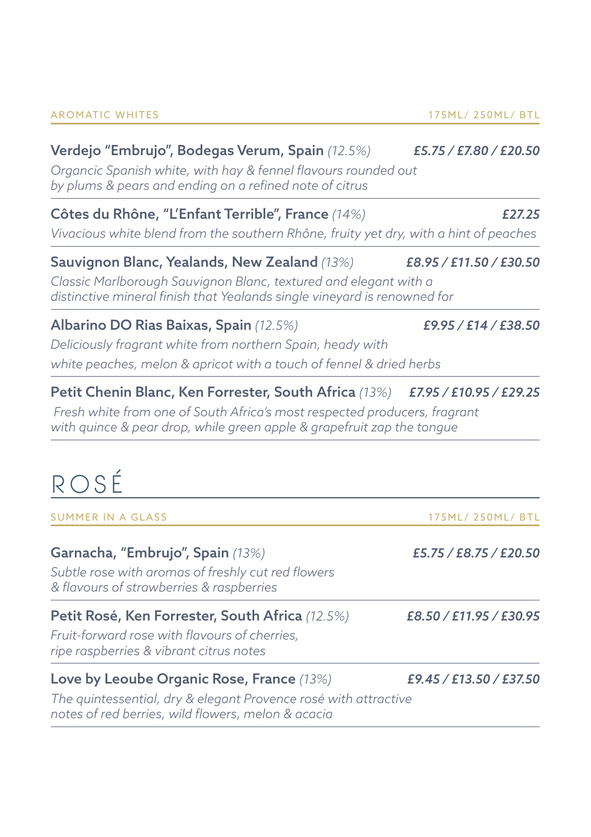#### Verdejo "Embrujo", Bodegas Verum, Spain *(12.5%) £5.75 / £7.80 / £20.50*

*Organcic Spanish white, with hay & fennel flavours rounded out by plums & pears and ending on a refined note of citrus*

#### Côtes du Rhône, "L'Enfant Terrible", France *(14%) £27.25*

*Vivacious white blend from the southern Rhône, fruity yet dry, with a hint of peaches*

#### Sauvignon Blanc, Yealands, New Zealand *(13%) £8.95 / £11.50 / £30.50*

*Classic Marlborough Sauvignon Blanc, textured and elegant with a distinctive mineral finish that Yealands single vineyard is renowned for*

#### Albarino DO Rias Baixas, Spain *(12.5%) £9.95 / £14 / £38.50*

*Deliciously fragrant white from northern Spain, heady with white peaches, melon & apricot with a touch of fennel & dried herbs*

#### Petit Chenin Blanc, Ken Forrester, South Africa *(13%) £7.95 / £10.95 / £29.25*

 *Fresh white from one of South Africa's most respected producers, fragrant with quince & pear drop, while green apple & grapefruit zap the tongue*

## RO S É

| <b>SUMMER IN A GLASS</b>                                                                                                                                           | 175ML/ 250ML/ BTL       |
|--------------------------------------------------------------------------------------------------------------------------------------------------------------------|-------------------------|
| Garnacha, "Embrujo", Spain (13%)<br>Subtle rose with aromas of freshly cut red flowers<br>& flavours of strawberries & raspberries                                 | £5.75 / £8.75 / £20.50  |
| Petit Rosé, Ken Forrester, South Africa (12.5%)<br>Fruit-forward rose with flavours of cherries,<br>ripe raspberries & vibrant citrus notes                        | £8.50 / £11.95 / £30.95 |
| Love by Leoube Organic Rose, France (13%)<br>The quintessential, dry & elegant Provence rosé with attractive<br>notes of red berries, wild flowers, melon & acacia | £9.45 / £13.50 / £37.50 |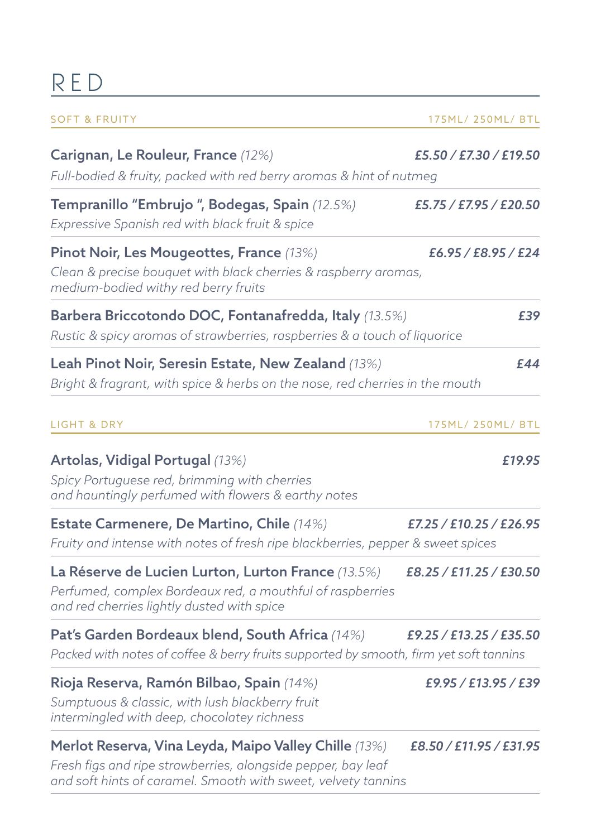# R E D

| <b>SOFT &amp; FRUITY</b>                                                                                                                                                               | 175ML/ 250ML/ BTL       |
|----------------------------------------------------------------------------------------------------------------------------------------------------------------------------------------|-------------------------|
| Carignan, Le Rouleur, France (12%)<br>Full-bodied & fruity, packed with red berry aromas & hint of nutmeg                                                                              | £5.50 / £7.30 / £19.50  |
| Tempranillo "Embrujo ", Bodegas, Spain (12.5%)<br>Expressive Spanish red with black fruit & spice                                                                                      | £5.75 / £7.95 / £20.50  |
| Pinot Noir, Les Mougeottes, France (13%)<br>Clean & precise bouquet with black cherries & raspberry aromas,<br>medium-bodied withy red berry fruits                                    | £6.95 / £8.95 / £24     |
| Barbera Briccotondo DOC, Fontanafredda, Italy (13.5%)<br>Rustic & spicy aromas of strawberries, raspberries & a touch of liquorice                                                     | £39                     |
| Leah Pinot Noir, Seresin Estate, New Zealand (13%)<br>Bright & fragrant, with spice & herbs on the nose, red cherries in the mouth                                                     | £44                     |
| <b>LIGHT &amp; DRY</b>                                                                                                                                                                 | 175ML/ 250ML/ BTL       |
| Artolas, Vidigal Portugal (13%)<br>Spicy Portuguese red, brimming with cherries<br>and hauntingly perfumed with flowers & earthy notes                                                 | £19.95                  |
| Estate Carmenere, De Martino, Chile (14%)<br>Fruity and intense with notes of fresh ripe blackberries, pepper & sweet spices                                                           | £7.25 / £10.25 / £26.95 |
| La Réserve de Lucien Lurton, Lurton France (13.5%)<br>Perfumed, complex Bordeaux red, a mouthful of raspberries<br>and red cherries lightly dusted with spice                          | £8.25 / £11.25 / £30.50 |
| Pat's Garden Bordeaux blend, South Africa (14%)<br>Packed with notes of coffee & berry fruits supported by smooth, firm yet soft tannins                                               | £9.25 / £13.25 / £35.50 |
| Rioja Reserva, Ramón Bilbao, Spain (14%)<br>Sumptuous & classic, with lush blackberry fruit<br>intermingled with deep, chocolatey richness                                             | £9.95 / £13.95 / £39    |
| Merlot Reserva, Vina Leyda, Maipo Valley Chille (13%)<br>Fresh figs and ripe strawberries, alongside pepper, bay leaf<br>and soft hints of caramel. Smooth with sweet, velvety tannins | £8.50 / £11.95 / £31.95 |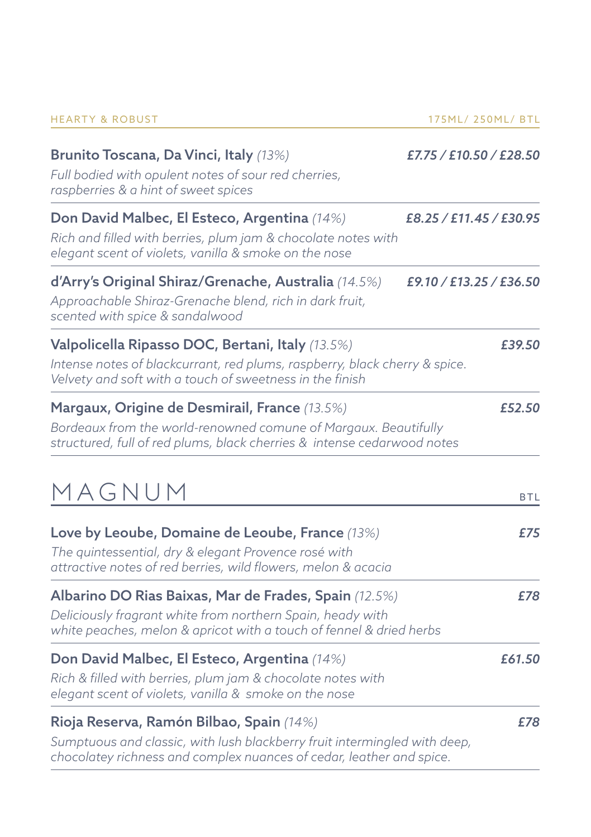| <b>HEARTY &amp; ROBUST</b> |  |  |
|----------------------------|--|--|
|                            |  |  |

and the control of the control of

| Brunito Toscana, Da Vinci, Italy (13%)<br>Full bodied with opulent notes of sour red cherries,<br>raspberries & a hint of sweet spices                                                        | £7.75 / £10.50 / £28.50 |
|-----------------------------------------------------------------------------------------------------------------------------------------------------------------------------------------------|-------------------------|
| Don David Malbec, El Esteco, Argentina (14%)<br>Rich and filled with berries, plum jam & chocolate notes with<br>elegant scent of violets, vanilla & smoke on the nose                        | £8.25 / £11.45 / £30.95 |
| d'Arry's Original Shiraz/Grenache, Australia (14.5%)<br>Approachable Shiraz-Grenache blend, rich in dark fruit,<br>scented with spice & sandalwood                                            | £9.10 / £13.25 / £36.50 |
| Valpolicella Ripasso DOC, Bertani, Italy (13.5%)<br>Intense notes of blackcurrant, red plums, raspberry, black cherry & spice.<br>Velvety and soft with a touch of sweetness in the finish    | £39.50                  |
| Margaux, Origine de Desmirail, France (13.5%)<br>Bordeaux from the world-renowned comune of Margaux. Beautifully<br>structured, full of red plums, black cherries & intense cedarwood notes   | £52.50                  |
| MAGNUM                                                                                                                                                                                        | <b>BTL</b>              |
| Love by Leoube, Domaine de Leoube, France (13%)<br>The quintessential, dry & elegant Provence rosé with<br>attractive notes of red berries, wild flowers, melon & acacia                      | £75                     |
| Albarino DO Rias Baixas, Mar de Frades, Spain (12.5%)<br>Deliciously fragrant white from northern Spain, heady with<br>white peaches, melon & apricot with a touch of fennel & dried herbs    | £78                     |
| Don David Malbec, El Esteco, Argentina (14%)<br>Rich & filled with berries, plum jam & chocolate notes with<br>elegant scent of violets, vanilla & smoke on the nose                          | £61.50                  |
| Rioja Reserva, Ramón Bilbao, Spain (14%)<br>Sumptuous and classic, with lush blackberry fruit intermingled with deep,<br>chocolatey richness and complex nuances of cedar, leather and spice. | £78                     |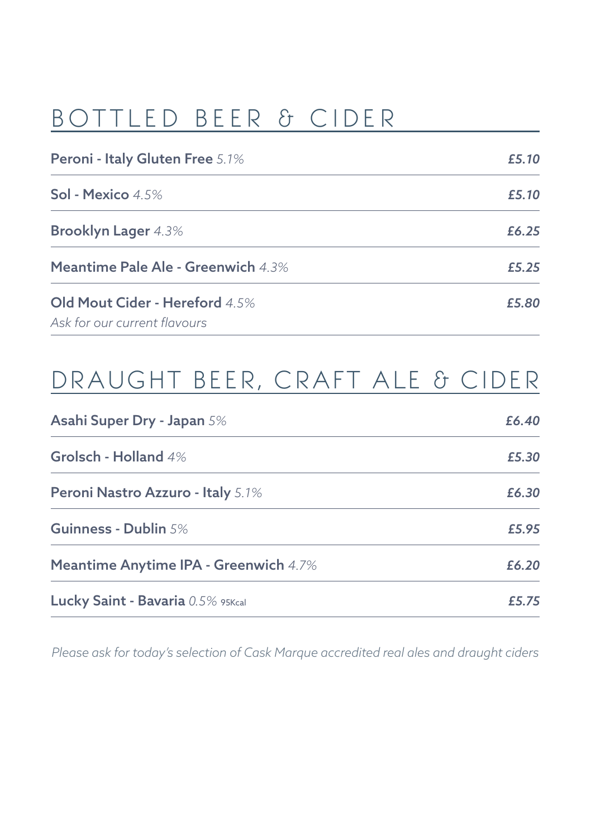#### BOTTLED BEER & CIDER

| Peroni - Italy Gluten Free 5.1%                                | £5.10 |
|----------------------------------------------------------------|-------|
| Sol - Mexico $4.5\%$                                           | £5.10 |
| <b>Brooklyn Lager 4.3%</b>                                     | £6.25 |
| <b>Meantime Pale Ale - Greenwich 4.3%</b>                      | £5.25 |
| Old Mout Cider - Hereford 4.5%<br>Ask for our current flavours | £5.80 |

### DRAUGHT BEER, CRAFT ALE & CIDER

| Asahi Super Dry - Japan 5%                   | £6.40 |
|----------------------------------------------|-------|
| Grolsch - Holland 4%                         | £5.30 |
| Peroni Nastro Azzuro - Italy 5.1%            | £6.30 |
| Guinness - Dublin 5%                         | £5.95 |
| <b>Meantime Anytime IPA - Greenwich 4.7%</b> | £6.20 |
| Lucky Saint - Bavaria 0.5% 95Kcal            | £5.75 |

*Please ask for today's selection of Cask Marque accredited real ales and draught ciders*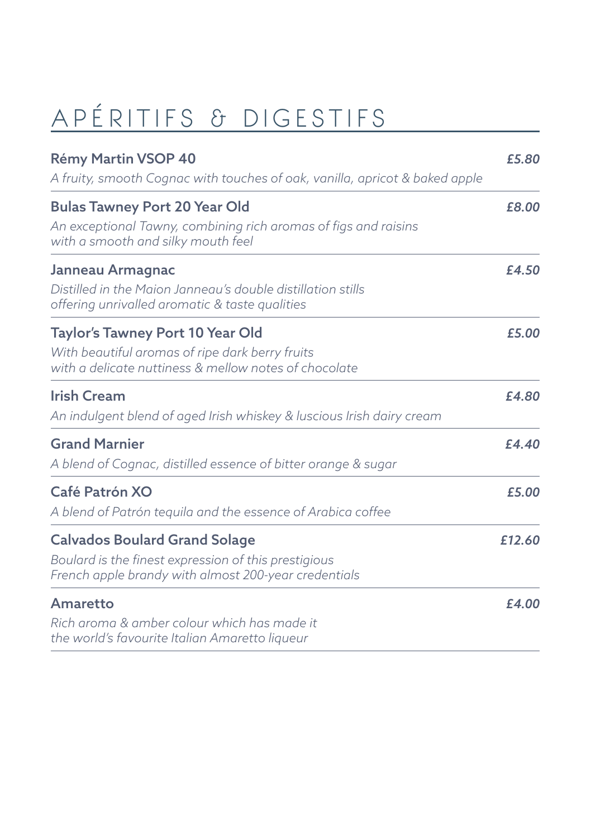# APÉRITIFS & DIGESTIFS

| Rémy Martin VSOP 40<br>A fruity, smooth Cognac with touches of oak, vanilla, apricot & baked apple                                                   | £5.80  |
|------------------------------------------------------------------------------------------------------------------------------------------------------|--------|
| <b>Bulas Tawney Port 20 Year Old</b><br>An exceptional Tawny, combining rich aromas of figs and raisins<br>with a smooth and silky mouth feel        | £8.00  |
| Janneau Armagnac<br>Distilled in the Majon Janneau's double distillation stills<br>offering unrivalled aromatic & taste qualities                    | £4.50  |
| Taylor's Tawney Port 10 Year Old<br>With beautiful aromas of ripe dark berry fruits<br>with a delicate nuttiness & mellow notes of chocolate         | £5.00  |
| <b>Irish Cream</b><br>An indulgent blend of aged Irish whiskey & luscious Irish dairy cream                                                          | £4.80  |
| <b>Grand Marnier</b><br>A blend of Cognac, distilled essence of bitter orange & sugar                                                                | £4.40  |
| Café Patrón XO<br>A blend of Patrón teguila and the essence of Arabica coffee                                                                        | £5.00  |
| <b>Calvados Boulard Grand Solage</b><br>Boulard is the finest expression of this prestigious<br>French apple brandy with almost 200-year credentials | £12.60 |
| Amaretto<br>Rich aroma & amber colour which has made it<br>the world's favourite Italian Amaretto liqueur                                            | £4.00  |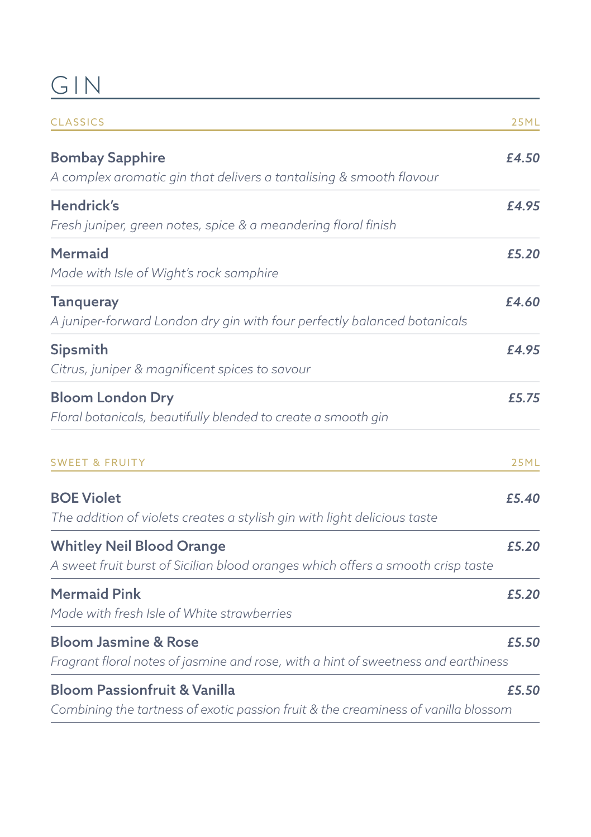## GIN COMMENT

| <b>CLASSICS</b>                                                                                                               | 25ML        |
|-------------------------------------------------------------------------------------------------------------------------------|-------------|
| <b>Bombay Sapphire</b><br>A complex aromatic gin that delivers a tantalising & smooth flavour                                 | £4.50       |
| <b>Hendrick's</b><br>Fresh juniper, green notes, spice & a meandering floral finish                                           | £4.95       |
| <b>Mermaid</b><br>Made with Isle of Wight's rock samphire                                                                     | £5.20       |
| <b>Tanqueray</b><br>A juniper-forward London dry gin with four perfectly balanced botanicals                                  | £4.60       |
| <b>Sipsmith</b><br>Citrus, juniper & magnificent spices to savour                                                             | £4.95       |
| <b>Bloom London Dry</b><br>Floral botanicals, beautifully blended to create a smooth gin                                      | £5.75       |
| <b>SWEET &amp; FRUITY</b>                                                                                                     | <b>25ML</b> |
| <b>BOE Violet</b><br>The addition of violets creates a stylish gin with light delicious taste                                 | £5.40       |
| <b>Whitley Neil Blood Orange</b><br>A sweet fruit burst of Sicilian blood oranges which offers a smooth crisp taste           | £5.20       |
| <b>Mermaid Pink</b><br>Made with fresh Isle of White strawberries                                                             | £5.20       |
| <b>Bloom Jasmine &amp; Rose</b><br>Fragrant floral notes of jasmine and rose, with a hint of sweetness and earthiness         | £5.50       |
| <b>Bloom Passionfruit &amp; Vanilla</b><br>Combining the tartness of exotic passion fruit & the creaminess of vanilla blossom | £5.50       |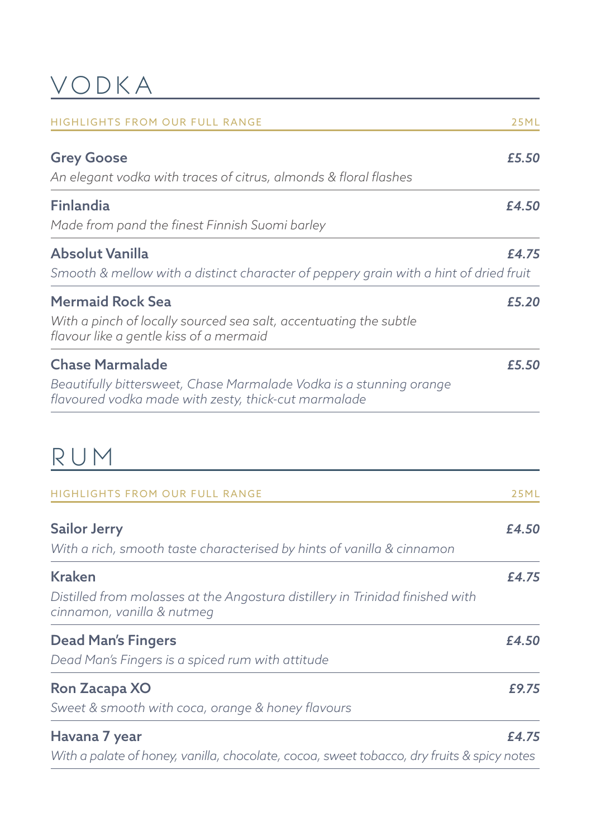#### VODKA

| <b>HIGHLIGHTS FROM OUR FULL RANGE</b>                                                                                                                 | 25ML  |
|-------------------------------------------------------------------------------------------------------------------------------------------------------|-------|
| <b>Grey Goose</b><br>An elegant vodka with traces of citrus, almonds & floral flashes                                                                 | £5.50 |
| Finlandia<br>Made from pand the finest Finnish Suomi barley                                                                                           | £4.50 |
| <b>Absolut Vanilla</b><br>Smooth & mellow with a distinct character of peppery grain with a hint of dried fruit                                       | £4.75 |
| <b>Mermaid Rock Sea</b><br>With a pinch of locally sourced sea salt, accentuating the subtle<br>flavour like a gentle kiss of a mermaid               | £5.20 |
| <b>Chase Marmalade</b><br>Beautifully bittersweet, Chase Marmalade Vodka is a stunning orange<br>flavoured vodka made with zesty, thick-cut marmalade | £5.50 |
| RUM                                                                                                                                                   |       |
| <b>HIGHLIGHTS FROM OUR FULL RANGE</b>                                                                                                                 | 25ML  |
| <b>Sailor Jerry</b><br>With a rich, smooth taste characterised by hints of vanilla & cinnamon                                                         | £4.50 |
| Kraken<br>Distilled from molasses at the Angostura distillery in Trinidad finished with<br>cinnamon, vanilla & nutmeg                                 | £4.75 |
| <b>Dead Man's Fingers</b><br>Dead Man's Fingers is a spiced rum with attitude                                                                         | £4.50 |
| Ron Zacapa XO<br>Sweet & smooth with coca, orange & honey flavours                                                                                    | £9.75 |
| Havana 7 year                                                                                                                                         | £4.75 |

*With a palate of honey, vanilla, chocolate, cocoa, sweet tobacco, dry fruits & spicy notes*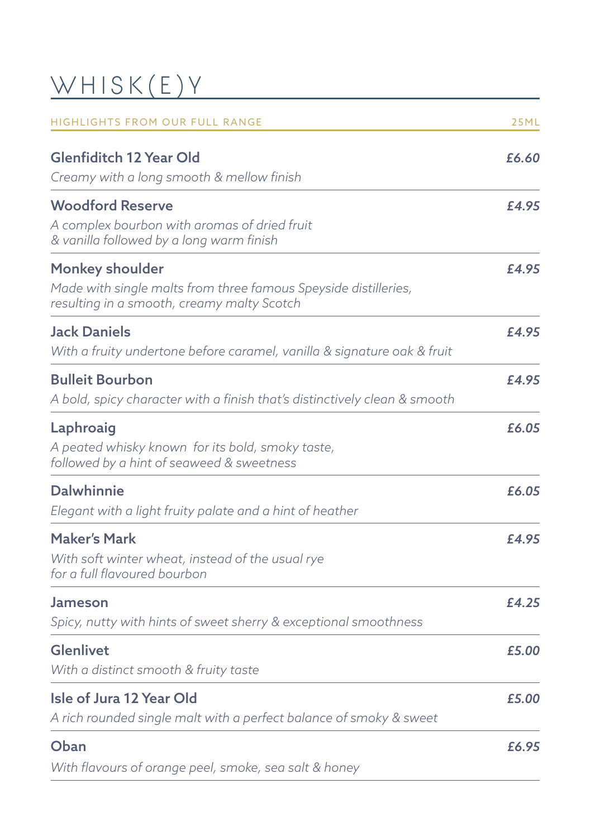# WHISK(E)Y

| HIGHLIGHTS FROM OUR FULL RANGE                                                                                                   | <b>25ML</b> |
|----------------------------------------------------------------------------------------------------------------------------------|-------------|
| <b>Glenfiditch 12 Year Old</b><br>Creamy with a long smooth & mellow finish                                                      | £6.60       |
| <b>Woodford Reserve</b><br>A complex bourbon with aromas of dried fruit<br>& vanilla followed by a long warm finish              | £4.95       |
| Monkey shoulder<br>Made with single malts from three famous Speyside distilleries,<br>resulting in a smooth, creamy malty Scotch | £4.95       |
| <b>Jack Daniels</b><br>With a fruity undertone before caramel, vanilla & signature oak & fruit                                   | £4.95       |
| <b>Bulleit Bourbon</b><br>A bold, spicy character with a finish that's distinctively clean & smooth                              | £4.95       |
| Laphroaig<br>A peated whisky known for its bold, smoky taste,<br>followed by a hint of seaweed & sweetness                       | £6.05       |
| <b>Dalwhinnie</b><br>Elegant with a light fruity palate and a hint of heather                                                    | £6.05       |
| <b>Maker's Mark</b><br>With soft winter wheat, instead of the usual rye<br>for a full flavoured bourbon                          | £4.95       |
| Jameson<br>Spicy, nutty with hints of sweet sherry & exceptional smoothness                                                      | £4.25       |
| Glenlivet<br>With a distinct smooth & fruity taste                                                                               | £5.00       |
| Isle of Jura 12 Year Old<br>A rich rounded single malt with a perfect balance of smoky & sweet                                   | £5.00       |
| Oban<br>With flavours of orange peel, smoke, sea salt & honey                                                                    | £6.95       |